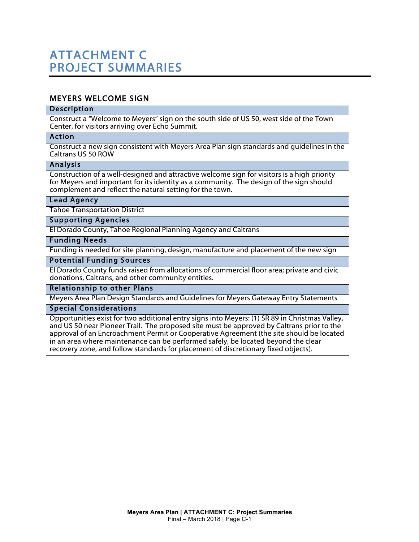# MEYERS WELCOME SIGN

#### Description

Construct a "Welcome to Meyers" sign on the south side of US 50, west side of the Town Center, for visitors arriving over Echo Summit.

#### Action

Construct a new sign consistent with Meyers Area Plan sign standards and guidelines in the Caltrans US 50 ROW

#### Analysis

Construction of a well-designed and attractive welcome sign for visitors is a high priority for Meyers and important for its identity as a community. The design of the sign should complement and reflect the natural setting for the town.

#### Lead Agency

Tahoe Transportation District

#### Supporting Agencies

El Dorado County, Tahoe Regional Planning Agency and Caltrans

#### Funding Needs

Funding is needed for site planning, design, manufacture and placement of the new sign

#### Potential Funding Sources

El Dorado County funds raised from allocations of commercial floor area; private and civic donations, Caltrans, and other community entities.

#### Relationship to other Plans

Meyers Area Plan Design Standards and Guidelines for Meyers Gateway Entry Statements

#### Special Considerations

Opportunities exist for two additional entry signs into Meyers: (1) SR 89 in Christmas Valley, and US 50 near Pioneer Trail. The proposed site must be approved by Caltrans prior to the approval of an Encroachment Permit or Cooperative Agreement (the site should be located in an area where maintenance can be performed safely, be located beyond the clear recovery zone, and follow standards for placement of discretionary fixed objects).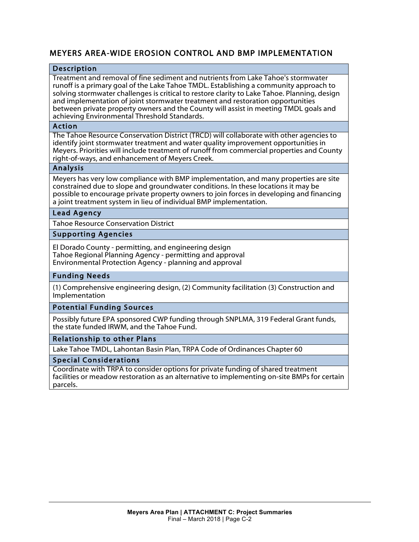# MEYERS AREA-WIDE EROSION CONTROL AND BMP IMPLEMENTATION

#### Description

Treatment and removal of fine sediment and nutrients from Lake Tahoe's stormwater runoff is a primary goal of the Lake Tahoe TMDL. Establishing a community approach to solving stormwater challenges is critical to restore clarity to Lake Tahoe. Planning, design and implementation of joint stormwater treatment and restoration opportunities between private property owners and the County will assist in meeting TMDL goals and achieving Environmental Threshold Standards.

#### Action

The Tahoe Resource Conservation District (TRCD) will collaborate with other agencies to identify joint stormwater treatment and water quality improvement opportunities in Meyers. Priorities will include treatment of runoff from commercial properties and County right-of-ways, and enhancement of Meyers Creek.

#### Analysis

Meyers has very low compliance with BMP implementation, and many properties are site constrained due to slope and groundwater conditions. In these locations it may be possible to encourage private property owners to join forces in developing and financing a joint treatment system in lieu of individual BMP implementation.

#### Lead Agency

Tahoe Resource Conservation District

#### Supporting Agencies

El Dorado County - permitting, and engineering design Tahoe Regional Planning Agency - permitting and approval Environmental Protection Agency - planning and approval

#### Funding Needs

(1) Comprehensive engineering design, (2) Community facilitation (3) Construction and Implementation

#### Potential Funding Sources

Possibly future EPA sponsored CWP funding through SNPLMA, 319 Federal Grant funds, the state funded IRWM, and the Tahoe Fund.

#### Relationship to other Plans

Lake Tahoe TMDL, Lahontan Basin Plan, TRPA Code of Ordinances Chapter 60

#### Special Considerations

Coordinate with TRPA to consider options for private funding of shared treatment facilities or meadow restoration as an alternative to implementing on-site BMPs for certain parcels.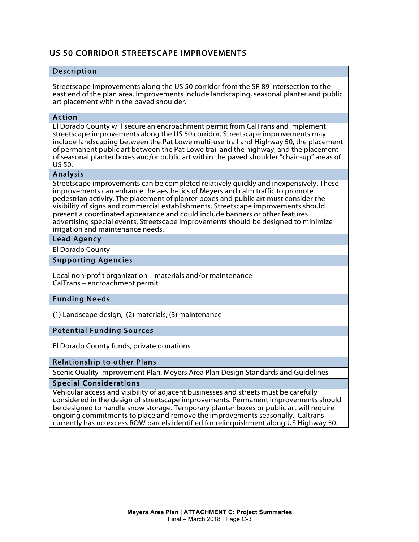# US 50 CORRIDOR STREETSCAPE IMPROVEMENTS

#### Description

Streetscape improvements along the US 50 corridor from the SR 89 intersection to the east end of the plan area. Improvements include landscaping, seasonal planter and public art placement within the paved shoulder.

#### Action

El Dorado County will secure an encroachment permit from CalTrans and implement streetscape improvements along the US 50 corridor. Streetscape improvements may include landscaping between the Pat Lowe multi-use trail and Highway 50, the placement of permanent public art between the Pat Lowe trail and the highway, and the placement of seasonal planter boxes and/or public art within the paved shoulder "chain-up" areas of US 50.

#### Analysis

Streetscape improvements can be completed relatively quickly and inexpensively. These improvements can enhance the aesthetics of Meyers and calm traffic to promote pedestrian activity. The placement of planter boxes and public art must consider the visibility of signs and commercial establishments. Streetscape improvements should present a coordinated appearance and could include banners or other features advertising special events. Streetscape improvements should be designed to minimize irrigation and maintenance needs.

## Lead Agency

El Dorado County

#### Supporting Agencies

Local non-profit organization – materials and/or maintenance CalTrans – encroachment permit

#### Funding Needs

(1) Landscape design, (2) materials, (3) maintenance

Potential Funding Sources

El Dorado County funds, private donations

# Relationship to other Plans

Scenic Quality Improvement Plan, Meyers Area Plan Design Standards and Guidelines

#### Special Considerations

Vehicular access and visibility of adjacent businesses and streets must be carefully considered in the design of streetscape improvements. Permanent improvements should be designed to handle snow storage. Temporary planter boxes or public art will require ongoing commitments to place and remove the improvements seasonally. Caltrans currently has no excess ROW parcels identified for relinquishment along US Highway 50.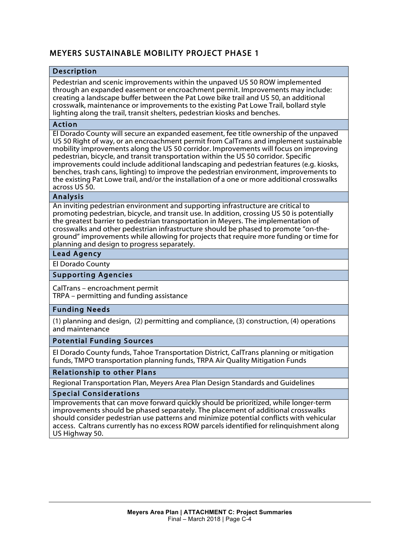# MEYERS SUSTAINABLE MOBILITY PROJECT PHASE 1

#### Description

Pedestrian and scenic improvements within the unpaved US 50 ROW implemented through an expanded easement or encroachment permit. Improvements may include: creating a landscape buffer between the Pat Lowe bike trail and US 50, an additional crosswalk, maintenance or improvements to the existing Pat Lowe Trail, bollard style lighting along the trail, transit shelters, pedestrian kiosks and benches.

#### Action

El Dorado County will secure an expanded easement, fee title ownership of the unpaved US 50 Right of way, or an encroachment permit from CalTrans and implement sustainable mobility improvements along the US 50 corridor. Improvements will focus on improving pedestrian, bicycle, and transit transportation within the US 50 corridor. Specific improvements could include additional landscaping and pedestrian features (e.g. kiosks, benches, trash cans, lighting) to improve the pedestrian environment, improvements to the existing Pat Lowe trail, and/or the installation of a one or more additional crosswalks across US 50.

#### Analysis

An inviting pedestrian environment and supporting infrastructure are critical to promoting pedestrian, bicycle, and transit use. In addition, crossing US 50 is potentially the greatest barrier to pedestrian transportation in Meyers. The implementation of crosswalks and other pedestrian infrastructure should be phased to promote "on-theground" improvements while allowing for projects that require more funding or time for planning and design to progress separately.

## Lead Agency

El Dorado County

#### Supporting Agencies

CalTrans – encroachment permit TRPA – permitting and funding assistance

#### Funding Needs

(1) planning and design, (2) permitting and compliance, (3) construction, (4) operations and maintenance

#### Potential Funding Sources

El Dorado County funds, Tahoe Transportation District, CalTrans planning or mitigation funds, TMPO transportation planning funds, TRPA Air Quality Mitigation Funds

#### Relationship to other Plans

Regional Transportation Plan, Meyers Area Plan Design Standards and Guidelines

#### Special Considerations

Improvements that can move forward quickly should be prioritized, while longer-term improvements should be phased separately. The placement of additional crosswalks should consider pedestrian use patterns and minimize potential conflicts with vehicular access. Caltrans currently has no excess ROW parcels identified for relinquishment along US Highway 50.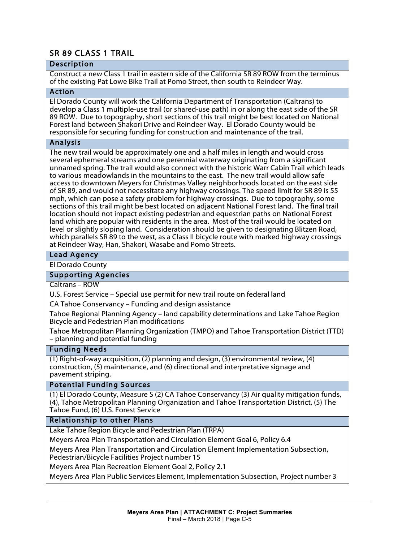# SR 89 CLASS 1 TRAIL

#### **Description**

Construct a new Class 1 trail in eastern side of the California SR 89 ROW from the terminus of the existing Pat Lowe Bike Trail at Pomo Street, then south to Reindeer Way.

## Action

El Dorado County will work the California Department of Transportation (Caltrans) to develop a Class 1 multiple-use trail (or shared-use path) in or along the east side of the SR 89 ROW. Due to topography, short sections of this trail might be best located on National Forest land between Shakori Drive and Reindeer Way. El Dorado County would be responsible for securing funding for construction and maintenance of the trail.

#### Analysis

The new trail would be approximately one and a half miles in length and would cross several ephemeral streams and one perennial waterway originating from a significant unnamed spring. The trail would also connect with the historic Warr Cabin Trail which leads to various meadowlands in the mountains to the east. The new trail would allow safe access to downtown Meyers for Christmas Valley neighborhoods located on the east side of SR 89, and would not necessitate any highway crossings. The speed limit for SR 89 is 55 mph, which can pose a safety problem for highway crossings. Due to topography, some sections of this trail might be best located on adjacent National Forest land. The final trail location should not impact existing pedestrian and equestrian paths on National Forest land which are popular with residents in the area. Most of the trail would be located on level or slightly sloping land. Consideration should be given to designating Blitzen Road, which parallels SR 89 to the west, as a Class II bicycle route with marked highway crossings at Reindeer Way, Han, Shakori, Wasabe and Pomo Streets.

## Lead Agency

#### El Dorado County

#### Supporting Agencies

Caltrans – ROW

U.S. Forest Service – Special use permit for new trail route on federal land

CA Tahoe Conservancy – Funding and design assistance

Tahoe Regional Planning Agency – land capability determinations and Lake Tahoe Region Bicycle and Pedestrian Plan modifications

Tahoe Metropolitan Planning Organization (TMPO) and Tahoe Transportation District (TTD) – planning and potential funding

#### Funding Needs

(1) Right-of-way acquisition, (2) planning and design, (3) environmental review, (4) construction, (5) maintenance, and (6) directional and interpretative signage and pavement striping.

#### Potential Funding Sources

(1) El Dorado County, Measure S (2) CA Tahoe Conservancy (3) Air quality mitigation funds, (4), Tahoe Metropolitan Planning Organization and Tahoe Transportation District, (5) The Tahoe Fund, (6) U.S. Forest Service

#### Relationship to other Plans

Lake Tahoe Region Bicycle and Pedestrian Plan (TRPA)

Meyers Area Plan Transportation and Circulation Element Goal 6, Policy 6.4

Meyers Area Plan Transportation and Circulation Element Implementation Subsection, Pedestrian/Bicycle Facilities Project number 15

Meyers Area Plan Recreation Element Goal 2, Policy 2.1

Meyers Area Plan Public Services Element, Implementation Subsection, Project number 3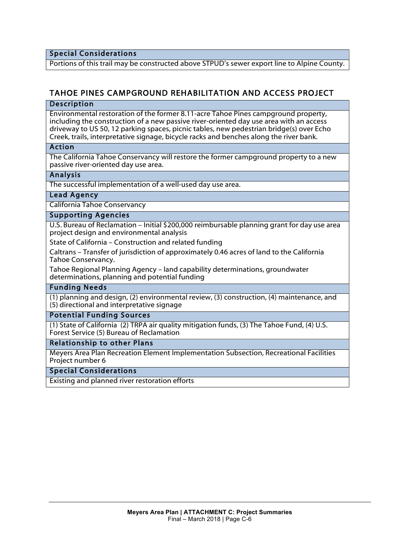Special Considerations

Portions of this trail may be constructed above STPUD's sewer export line to Alpine County.

# TAHOE PINES CAMPGROUND REHABILITATION AND ACCESS PROJECT

#### Description

Environmental restoration of the former 8.11-acre Tahoe Pines campground property, including the construction of a new passive river-oriented day use area with an access driveway to US 50, 12 parking spaces, picnic tables, new pedestrian bridge(s) over Echo Creek, trails, interpretative signage, bicycle racks and benches along the river bank.

#### Action

The California Tahoe Conservancy will restore the former campground property to a new passive river-oriented day use area.

#### Analysis

The successful implementation of a well-used day use area.

#### Lead Agency

California Tahoe Conservancy

#### Supporting Agencies

U.S. Bureau of Reclamation – Initial \$200,000 reimbursable planning grant for day use area project design and environmental analysis

State of California – Construction and related funding

Caltrans – Transfer of jurisdiction of approximately 0.46 acres of land to the California Tahoe Conservancy.

Tahoe Regional Planning Agency – land capability determinations, groundwater determinations, planning and potential funding

#### Funding Needs

(1) planning and design, (2) environmental review, (3) construction, (4) maintenance, and (5) directional and interpretative signage

#### Potential Funding Sources

(1) State of California (2) TRPA air quality mitigation funds, (3) The Tahoe Fund, (4) U.S. Forest Service (5) Bureau of Reclamation

#### Relationship to other Plans

Meyers Area Plan Recreation Element Implementation Subsection, Recreational Facilities Project number 6

#### Special Considerations

Existing and planned river restoration efforts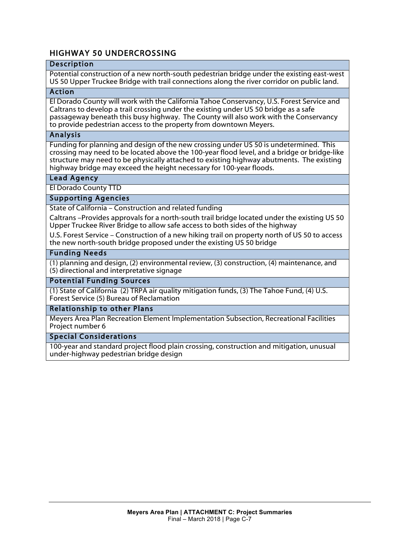# HIGHWAY 50 UNDERCROSSING

## Description

Potential construction of a new north-south pedestrian bridge under the existing east-west US 50 Upper Truckee Bridge with trail connections along the river corridor on public land.

## Action

El Dorado County will work with the California Tahoe Conservancy, U.S. Forest Service and Caltrans to develop a trail crossing under the existing under US 50 bridge as a safe passageway beneath this busy highway. The County will also work with the Conservancy to provide pedestrian access to the property from downtown Meyers.

#### Analysis

Funding for planning and design of the new crossing under US 50 is undetermined. This crossing may need to be located above the 100-year flood level, and a bridge or bridge-like structure may need to be physically attached to existing highway abutments. The existing highway bridge may exceed the height necessary for 100-year floods.

## Lead Agency

El Dorado County TTD

## Supporting Agencies

State of California – Construction and related funding

Caltrans –Provides approvals for a north-south trail bridge located under the existing US 50 Upper Truckee River Bridge to allow safe access to both sides of the highway

U.S. Forest Service – Construction of a new hiking trail on property north of US 50 to access the new north-south bridge proposed under the existing US 50 bridge

#### Funding Needs

(1) planning and design, (2) environmental review, (3) construction, (4) maintenance, and (5) directional and interpretative signage

#### Potential Funding Sources

(1) State of California (2) TRPA air quality mitigation funds, (3) The Tahoe Fund, (4) U.S. Forest Service (5) Bureau of Reclamation

#### Relationship to other Plans

Meyers Area Plan Recreation Element Implementation Subsection, Recreational Facilities Project number 6

#### Special Considerations

100-year and standard project flood plain crossing, construction and mitigation, unusual under-highway pedestrian bridge design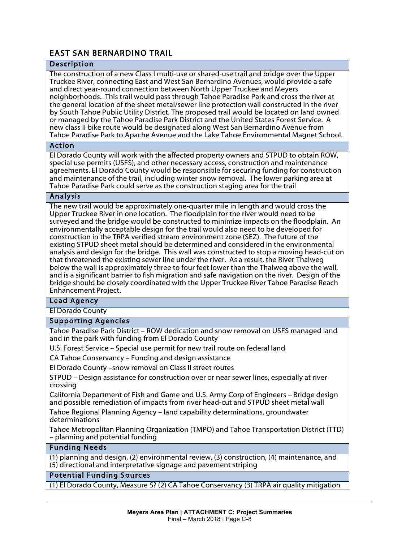# EAST SAN BERNARDINO TRAIL

# Description

The construction of a new Class I multi-use or shared-use trail and bridge over the Upper Truckee River, connecting East and West San Bernardino Avenues, would provide a safe and direct year-round connection between North Upper Truckee and Meyers neighborhoods. This trail would pass through Tahoe Paradise Park and cross the river at the general location of the sheet metal/sewer line protection wall constructed in the river by South Tahoe Public Utility District. The proposed trail would be located on land owned or managed by the Tahoe Paradise Park District and the United States Forest Service. A new class II bike route would be designated along West San Bernardino Avenue from Tahoe Paradise Park to Apache Avenue and the Lake Tahoe Environmental Magnet School.

#### Action

El Dorado County will work with the affected property owners and STPUD to obtain ROW, special use permits (USFS), and other necessary access, construction and maintenance agreements. El Dorado County would be responsible for securing funding for construction and maintenance of the trail, including winter snow removal. The lower parking area at Tahoe Paradise Park could serve as the construction staging area for the trail

## Analysis

The new trail would be approximately one-quarter mile in length and would cross the Upper Truckee River in one location. The floodplain for the river would need to be surveyed and the bridge would be constructed to minimize impacts on the floodplain. An environmentally acceptable design for the trail would also need to be developed for construction in the TRPA verified stream environment zone (SEZ). The future of the existing STPUD sheet metal should be determined and considered in the environmental analysis and design for the bridge. This wall was constructed to stop a moving head-cut on that threatened the existing sewer line under the river. As a result, the River Thalweg below the wall is approximately three to four feet lower than the Thalweg above the wall, and is a significant barrier to fish migration and safe navigation on the river. Design of the bridge should be closely coordinated with the Upper Truckee River Tahoe Paradise Reach Enhancement Project.

## Lead Agency

El Dorado County

#### Supporting Agencies

Tahoe Paradise Park District – ROW dedication and snow removal on USFS managed land and in the park with funding from El Dorado County

U.S. Forest Service – Special use permit for new trail route on federal land

CA Tahoe Conservancy – Funding and design assistance

El Dorado County –snow removal on Class II street routes

STPUD – Design assistance for construction over or near sewer lines, especially at river crossing

California Department of Fish and Game and U.S. Army Corp of Engineers – Bridge design and possible remediation of impacts from river head-cut and STPUD sheet metal wall

Tahoe Regional Planning Agency – land capability determinations, groundwater determinations

Tahoe Metropolitan Planning Organization (TMPO) and Tahoe Transportation District (TTD) – planning and potential funding

#### Funding Needs

(1) planning and design, (2) environmental review, (3) construction, (4) maintenance, and (5) directional and interpretative signage and pavement striping

#### Potential Funding Sources

(1) El Dorado County, Measure S? (2) CA Tahoe Conservancy (3) TRPA air quality mitigation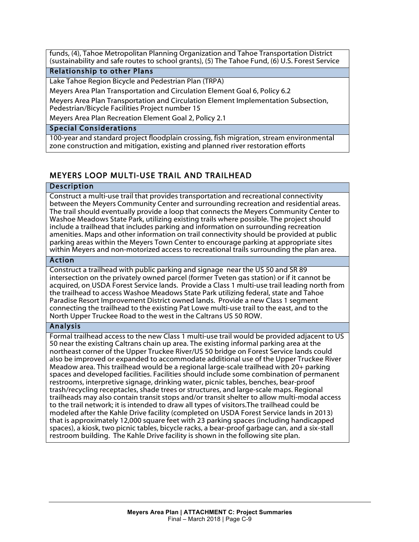funds, (4), Tahoe Metropolitan Planning Organization and Tahoe Transportation District (sustainability and safe routes to school grants), (5) The Tahoe Fund, (6) U.S. Forest Service

## Relationship to other Plans

Lake Tahoe Region Bicycle and Pedestrian Plan (TRPA)

Meyers Area Plan Transportation and Circulation Element Goal 6, Policy 6.2

Meyers Area Plan Transportation and Circulation Element Implementation Subsection, Pedestrian/Bicycle Facilities Project number 15

Meyers Area Plan Recreation Element Goal 2, Policy 2.1

#### Special Considerations

100-year and standard project floodplain crossing, fish migration, stream environmental zone construction and mitigation, existing and planned river restoration efforts

# MEYERS LOOP MULTI-USE TRAIL AND TRAILHEAD

#### Description

Construct a multi-use trail that provides transportation and recreational connectivity between the Meyers Community Center and surrounding recreation and residential areas. The trail should eventually provide a loop that connects the Meyers Community Center to Washoe Meadows State Park, utilizing existing trails where possible. The project should include a trailhead that includes parking and information on surrounding recreation amenities. Maps and other information on trail connectivity should be provided at public parking areas within the Meyers Town Center to encourage parking at appropriate sites within Meyers and non-motorized access to recreational trails surrounding the plan area.

#### Action

Construct a trailhead with public parking and signage near the US 50 and SR 89 intersection on the privately owned parcel (former Tveten gas station) or if it cannot be acquired, on USDA Forest Service lands. Provide a Class 1 multi-use trail leading north from the trailhead to access Washoe Meadows State Park utilizing federal, state and Tahoe Paradise Resort Improvement District owned lands. Provide a new Class 1 segment connecting the trailhead to the existing Pat Lowe multi-use trail to the east, and to the North Upper Truckee Road to the west in the Caltrans US 50 ROW.

#### Analysis

Formal trailhead access to the new Class 1 multi-use trail would be provided adjacent to US 50 near the existing Caltrans chain up area. The existing informal parking area at the northeast corner of the Upper Truckee River/US 50 bridge on Forest Service lands could also be improved or expanded to accommodate additional use of the Upper Truckee River Meadow area. This trailhead would be a regional large-scale trailhead with 20+ parking spaces and developed facilities. Facilities should include some combination of permanent restrooms, interpretive signage, drinking water, picnic tables, benches, bear-proof trash/recycling receptacles, shade trees or structures, and large-scale maps. Regional trailheads may also contain transit stops and/or transit shelter to allow multi-modal access to the trail network; it is intended to draw all types of visitors.The trailhead could be modeled after the Kahle Drive facility (completed on USDA Forest Service lands in 2013) that is approximately 12,000 square feet with 23 parking spaces (including handicapped spaces), a kiosk, two picnic tables, bicycle racks, a bear-proof garbage can, and a six-stall restroom building. The Kahle Drive facility is shown in the following site plan.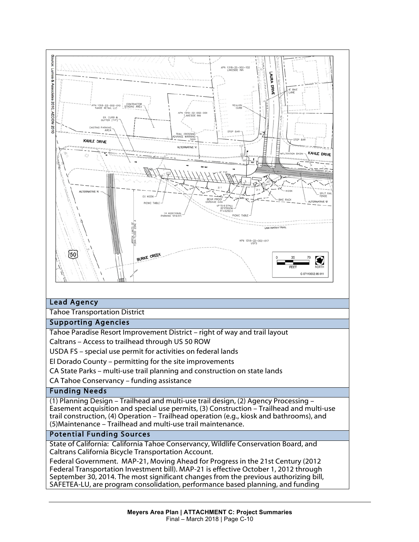

# Lead Agency

Tahoe Transportation District

#### Supporting Agencies

Tahoe Paradise Resort Improvement District – right of way and trail layout

Caltrans – Access to trailhead through US 50 ROW

USDA FS – special use permit for activities on federal lands

El Dorado County – permitting for the site improvements

CA State Parks – multi-use trail planning and construction on state lands

CA Tahoe Conservancy – funding assistance

#### Funding Needs

(1) Planning Design – Trailhead and multi-use trail design, (2) Agency Processing – Easement acquisition and special use permits, (3) Construction – Trailhead and multi-use trail construction, (4) Operation – Trailhead operation (e.g., kiosk and bathrooms), and (5)Maintenance – Trailhead and multi-use trail maintenance.

#### Potential Funding Sources

State of California: California Tahoe Conservancy, Wildlife Conservation Board, and Caltrans California Bicycle Transportation Account.

Federal Government. MAP-21, Moving Ahead for Progress in the 21st Century (2012 Federal Transportation Investment bill). MAP-21 is effective October 1, 2012 through September 30, 2014. The most significant changes from the previous authorizing bill, SAFETEA-LU, are program consolidation, performance based planning, and funding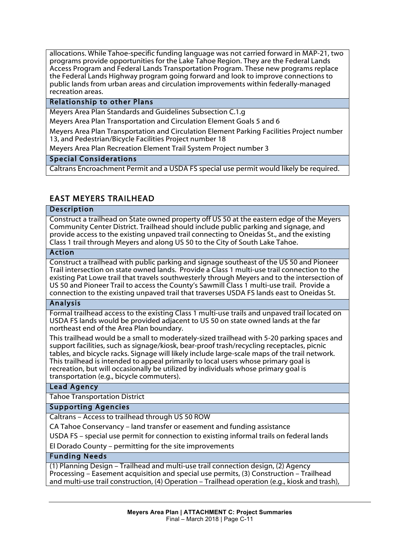allocations. While Tahoe-specific funding language was not carried forward in MAP-21, two programs provide opportunities for the Lake Tahoe Region. They are the Federal Lands Access Program and Federal Lands Transportation Program. These new programs replace the Federal Lands Highway program going forward and look to improve connections to public lands from urban areas and circulation improvements within federally-managed recreation areas.

## Relationship to other Plans

Meyers Area Plan Standards and Guidelines Subsection C.1.g

Meyers Area Plan Transportation and Circulation Element Goals 5 and 6

Meyers Area Plan Transportation and Circulation Element Parking Facilities Project number 13, and Pedestrian/Bicycle Facilities Project number 18

Meyers Area Plan Recreation Element Trail System Project number 3

#### Special Considerations

Caltrans Encroachment Permit and a USDA FS special use permit would likely be required.

# EAST MEYERS TRAILHEAD

#### Description

Construct a trailhead on State owned property off US 50 at the eastern edge of the Meyers Community Center District. Trailhead should include public parking and signage, and provide access to the existing unpaved trail connecting to Oneidas St., and the existing Class 1 trail through Meyers and along US 50 to the City of South Lake Tahoe.

#### Action

Construct a trailhead with public parking and signage southeast of the US 50 and Pioneer Trail intersection on state owned lands. Provide a Class 1 multi-use trail connection to the existing Pat Lowe trail that travels southwesterly through Meyers and to the intersection of US 50 and Pioneer Trail to access the County's Sawmill Class 1 multi-use trail. Provide a connection to the existing unpaved trail that traverses USDA FS lands east to Oneidas St.

#### Analysis

Formal trailhead access to the existing Class 1 multi-use trails and unpaved trail located on USDA FS lands would be provided adjacent to US 50 on state owned lands at the far northeast end of the Area Plan boundary.

This trailhead would be a small to moderately-sized trailhead with 5-20 parking spaces and support facilities, such as signage/kiosk, bear-proof trash/recycling receptacles, picnic tables, and bicycle racks. Signage will likely include large-scale maps of the trail network. This trailhead is intended to appeal primarily to local users whose primary goal is recreation, but will occasionally be utilized by individuals whose primary goal is transportation (e.g., bicycle commuters).

#### Lead Agency

Tahoe Transportation District

#### Supporting Agencies

Caltrans – Access to trailhead through US 50 ROW

CA Tahoe Conservancy – land transfer or easement and funding assistance

USDA FS – special use permit for connection to existing informal trails on federal lands

El Dorado County – permitting for the site improvements

#### Funding Needs

(1) Planning Design – Trailhead and multi-use trail connection design, (2) Agency Processing – Easement acquisition and special use permits, (3) Construction – Trailhead and multi-use trail construction, (4) Operation – Trailhead operation (e.g., kiosk and trash),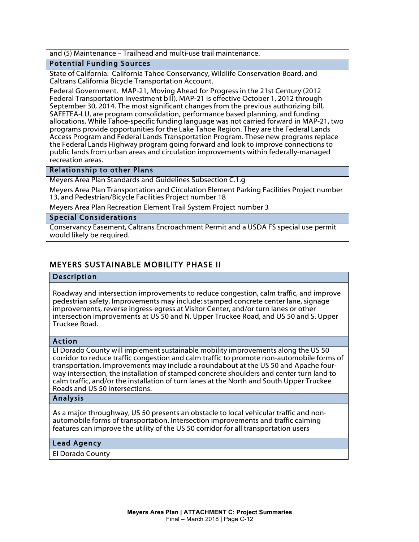and (5) Maintenance – Trailhead and multi-use trail maintenance.

#### Potential Funding Sources

State of California: California Tahoe Conservancy, Wildlife Conservation Board, and Caltrans California Bicycle Transportation Account.

Federal Government. MAP-21, Moving Ahead for Progress in the 21st Century (2012 Federal Transportation Investment bill). MAP-21 is effective October 1, 2012 through September 30, 2014. The most significant changes from the previous authorizing bill, SAFETEA-LU, are program consolidation, performance based planning, and funding allocations. While Tahoe-specific funding language was not carried forward in MAP-21, two programs provide opportunities for the Lake Tahoe Region. They are the Federal Lands Access Program and Federal Lands Transportation Program. These new programs replace the Federal Lands Highway program going forward and look to improve connections to public lands from urban areas and circulation improvements within federally-managed recreation areas.

#### Relationship to other Plans

Meyers Area Plan Standards and Guidelines Subsection C.1.g

Meyers Area Plan Transportation and Circulation Element Parking Facilities Project number 13, and Pedestrian/Bicycle Facilities Project number 18

Meyers Area Plan Recreation Element Trail System Project number 3

#### Special Considerations

Conservancy Easement, Caltrans Encroachment Permit and a USDA FS special use permit would likely be required.

# MEYERS SUSTAINABLE MOBILITY PHASE II

#### Description

Roadway and intersection improvements to reduce congestion, calm traffic, and improve pedestrian safety. Improvements may include: stamped concrete center lane, signage improvements, reverse ingress-egress at Visitor Center, and/or turn lanes or other intersection improvements at US 50 and N. Upper Truckee Road, and US 50 and S. Upper Truckee Road.

#### Action

El Dorado County will implement sustainable mobility improvements along the US 50 corridor to reduce traffic congestion and calm traffic to promote non-automobile forms of transportation. Improvements may include a roundabout at the US 50 and Apache fourway intersection, the installation of stamped concrete shoulders and center turn land to calm traffic, and/or the installation of turn lanes at the North and South Upper Truckee Roads and US 50 intersections.

#### Analysis

As a major throughway, US 50 presents an obstacle to local vehicular traffic and nonautomobile forms of transportation. Intersection improvements and traffic calming features can improve the utility of the US 50 corridor for all transportation users

#### Lead Agency

El Dorado County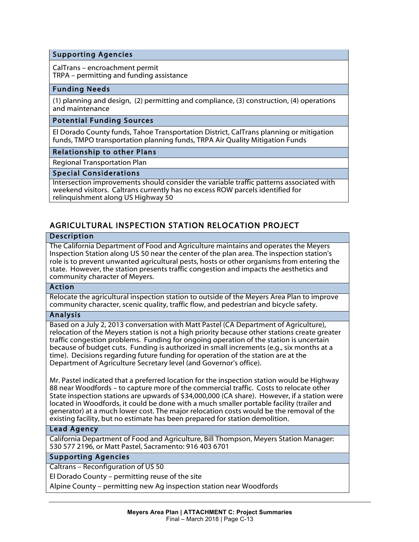## Supporting Agencies

CalTrans – encroachment permit TRPA – permitting and funding assistance

#### Funding Needs

(1) planning and design, (2) permitting and compliance, (3) construction, (4) operations and maintenance

#### Potential Funding Sources

El Dorado County funds, Tahoe Transportation District, CalTrans planning or mitigation funds, TMPO transportation planning funds, TRPA Air Quality Mitigation Funds

#### Relationship to other Plans

Regional Transportation Plan

#### Special Considerations

Intersection improvements should consider the variable traffic patterns associated with weekend visitors. Caltrans currently has no excess ROW parcels identified for relinquishment along US Highway 50

# AGRICULTURAL INSPECTION STATION RELOCATION PROJECT

#### Description

The California Department of Food and Agriculture maintains and operates the Meyers Inspection Station along US 50 near the center of the plan area. The inspection station's role is to prevent unwanted agricultural pests, hosts or other organisms from entering the state. However, the station presents traffic congestion and impacts the aesthetics and community character of Meyers.

## Action

Relocate the agricultural inspection station to outside of the Meyers Area Plan to improve community character, scenic quality, traffic flow, and pedestrian and bicycle safety.

#### Analysis

Based on a July 2, 2013 conversation with Matt Pastel (CA Department of Agriculture), relocation of the Meyers station is not a high priority because other stations create greater traffic congestion problems. Funding for ongoing operation of the station is uncertain because of budget cuts. Funding is authorized in small increments (e.g., six months at a time). Decisions regarding future funding for operation of the station are at the Department of Agriculture Secretary level (and Governor's office).

Mr. Pastel indicated that a preferred location for the inspection station would be Highway 88 near Woodfords – to capture more of the commercial traffic. Costs to relocate other State inspection stations are upwards of \$34,000,000 (CA share). However, if a station were located in Woodfords, it could be done with a much smaller portable facility (trailer and generator) at a much lower cost. The major relocation costs would be the removal of the existing facility, but no estimate has been prepared for station demolition.

#### Lead Agency

California Department of Food and Agriculture, Bill Thompson, Meyers Station Manager: 530 577 2196, or Matt Pastel, Sacramento: 916 403 6701

#### Supporting Agencies

Caltrans – Reconfiguration of US 50

El Dorado County – permitting reuse of the site

Alpine County – permitting new Ag inspection station near Woodfords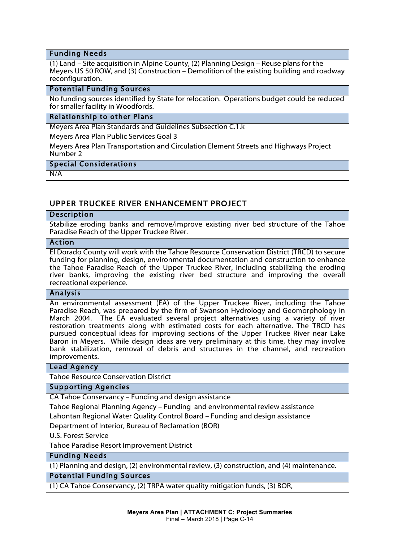#### Funding Needs

(1) Land – Site acquisition in Alpine County, (2) Planning Design – Reuse plans for the Meyers US 50 ROW, and (3) Construction – Demolition of the existing building and roadway reconfiguration.

#### Potential Funding Sources

No funding sources identified by State for relocation. Operations budget could be reduced for smaller facility in Woodfords.

#### Relationship to other Plans

Meyers Area Plan Standards and Guidelines Subsection C.1.k

Meyers Area Plan Public Services Goal 3

Meyers Area Plan Transportation and Circulation Element Streets and Highways Project Number 2

#### Special Considerations

N/A

# UPPER TRUCKEE RIVER ENHANCEMENT PROJECT

#### Description

Stabilize eroding banks and remove/improve existing river bed structure of the Tahoe Paradise Reach of the Upper Truckee River.

#### Action

El Dorado County will work with the Tahoe Resource Conservation District (TRCD) to secure funding for planning, design, environmental documentation and construction to enhance the Tahoe Paradise Reach of the Upper Truckee River, including stabilizing the eroding river banks, improving the existing river bed structure and improving the overall recreational experience.

#### Analysis

An environmental assessment (EA) of the Upper Truckee River, including the Tahoe Paradise Reach, was prepared by the firm of Swanson Hydrology and Geomorphology in March 2004. The EA evaluated several project alternatives using a variety of river restoration treatments along with estimated costs for each alternative. The TRCD has pursued conceptual ideas for improving sections of the Upper Truckee River near Lake Baron in Meyers. While design ideas are very preliminary at this time, they may involve bank stabilization, removal of debris and structures in the channel, and recreation improvements.

#### Lead Agency

Tahoe Resource Conservation District

#### Supporting Agencies

CA Tahoe Conservancy – Funding and design assistance

Tahoe Regional Planning Agency – Funding and environmental review assistance

Lahontan Regional Water Quality Control Board – Funding and design assistance

Department of Interior, Bureau of Reclamation (BOR)

U.S. Forest Service

Tahoe Paradise Resort Improvement District

Funding Needs

(1) Planning and design, (2) environmental review, (3) construction, and (4) maintenance.

## Potential Funding Sources

(1) CA Tahoe Conservancy, (2) TRPA water quality mitigation funds, (3) BOR,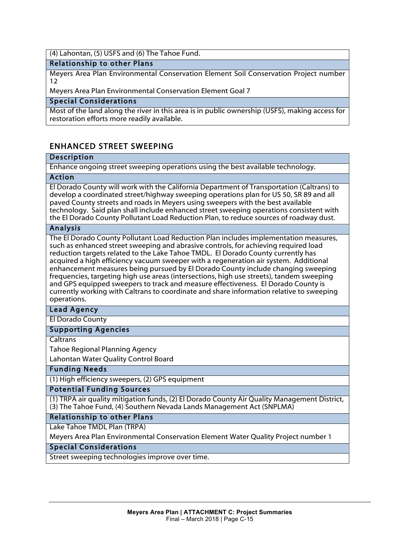(4) Lahontan, (5) USFS and (6) The Tahoe Fund.

#### Relationship to other Plans

Meyers Area Plan Environmental Conservation Element Soil Conservation Project number 12

Meyers Area Plan Environmental Conservation Element Goal 7

#### Special Considerations

Most of the land along the river in this area is in public ownership (USFS), making access for restoration efforts more readily available.

# ENHANCED STREET SWEEPING

#### Description

Enhance ongoing street sweeping operations using the best available technology.

#### Action

El Dorado County will work with the California Department of Transportation (Caltrans) to develop a coordinated street/highway sweeping operations plan for US 50, SR 89 and all paved County streets and roads in Meyers using sweepers with the best available technology. Said plan shall include enhanced street sweeping operations consistent with the El Dorado County Pollutant Load Reduction Plan, to reduce sources of roadway dust.

#### Analysis

The El Dorado County Pollutant Load Reduction Plan includes implementation measures, such as enhanced street sweeping and abrasive controls, for achieving required load reduction targets related to the Lake Tahoe TMDL. El Dorado County currently has acquired a high efficiency vacuum sweeper with a regeneration air system. Additional enhancement measures being pursued by El Dorado County include changing sweeping frequencies, targeting high use areas (intersections, high use streets), tandem sweeping and GPS equipped sweepers to track and measure effectiveness. El Dorado County is currently working with Caltrans to coordinate and share information relative to sweeping operations.

#### Lead Agency

El Dorado County

#### Supporting Agencies

**Caltrans** 

Tahoe Regional Planning Agency

Lahontan Water Quality Control Board

## Funding Needs

(1) High efficiency sweepers, (2) GPS equipment

Potential Funding Sources

(1) TRPA air quality mitigation funds, (2) El Dorado County Air Quality Management District, (3) The Tahoe Fund, (4) Southern Nevada Lands Management Act (SNPLMA)

## Relationship to other Plans

Lake Tahoe TMDL Plan (TRPA) Meyers Area Plan Environmental Conservation Element Water Quality Project number 1

# Special Considerations

Street sweeping technologies improve over time.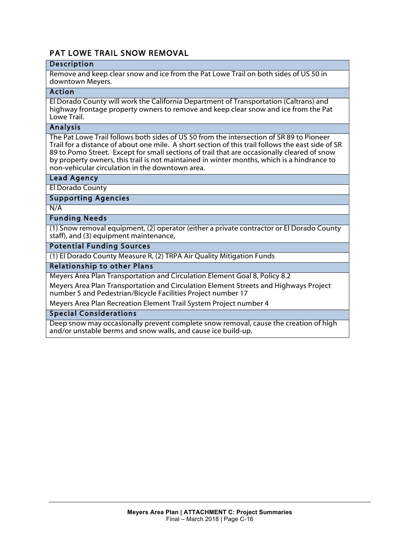# PAT LOWE TRAIL SNOW REMOVAL

# Description

Remove and keep clear snow and ice from the Pat Lowe Trail on both sides of US 50 in downtown Meyers.

## Action

El Dorado County will work the California Department of Transportation (Caltrans) and highway frontage property owners to remove and keep clear snow and ice from the Pat Lowe Trail.

## Analysis

The Pat Lowe Trail follows both sides of US 50 from the intersection of SR 89 to Pioneer Trail for a distance of about one mile. A short section of this trail follows the east side of SR 89 to Pomo Street. Except for small sections of trail that are occasionally cleared of snow by property owners, this trail is not maintained in winter months, which is a hindrance to non-vehicular circulation in the downtown area.

## Lead Agency

El Dorado County

Supporting Agencies

N/A

## Funding Needs

(1) Snow removal equipment, (2) operator (either a private contractor or El Dorado County staff), and (3) equipment maintenance,

#### Potential Funding Sources

(1) El Dorado County Measure R, (2) TRPA Air Quality Mitigation Funds

# Relationship to other Plans

Meyers Area Plan Transportation and Circulation Element Goal 8, Policy 8.2

Meyers Area Plan Transportation and Circulation Element Streets and Highways Project number 5 and Pedestrian/Bicycle Facilities Project number 17

Meyers Area Plan Recreation Element Trail System Project number 4

Special Considerations

Deep snow may occasionally prevent complete snow removal, cause the creation of high and/or unstable berms and snow walls, and cause ice build-up.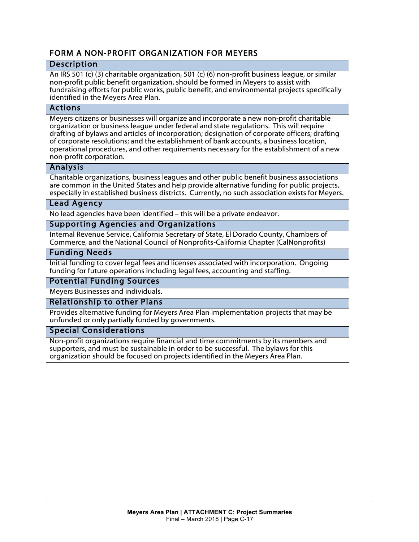# FORM A NON-PROFIT ORGANIZATION FOR MEYERS

# Description

An IRS 501 (c) (3) charitable organization, 501 (c) (6) non-profit business league, or similar non-profit public benefit organization, should be formed in Meyers to assist with fundraising efforts for public works, public benefit, and environmental projects specifically identified in the Meyers Area Plan.

#### Actions

Meyers citizens or businesses will organize and incorporate a new non-profit charitable organization or business league under federal and state regulations. This will require drafting of bylaws and articles of incorporation; designation of corporate officers; drafting of corporate resolutions; and the establishment of bank accounts, a business location, operational procedures, and other requirements necessary for the establishment of a new non-profit corporation.

## Analysis

Charitable organizations, business leagues and other public benefit business associations are common in the United States and help provide alternative funding for public projects, especially in established business districts. Currently, no such association exists for Meyers.

#### Lead Agency

No lead agencies have been identified – this will be a private endeavor.

## Supporting Agencies and Organizations

Internal Revenue Service, California Secretary of State, El Dorado County, Chambers of Commerce, and the National Council of Nonprofits-California Chapter (CalNonprofits)

# Funding Needs

Initial funding to cover legal fees and licenses associated with incorporation. Ongoing funding for future operations including legal fees, accounting and staffing.

#### Potential Funding Sources

Meyers Businesses and individuals.

Relationship to other Plans

Provides alternative funding for Meyers Area Plan implementation projects that may be unfunded or only partially funded by governments.

#### Special Considerations

Non-profit organizations require financial and time commitments by its members and supporters, and must be sustainable in order to be successful. The bylaws for this organization should be focused on projects identified in the Meyers Area Plan.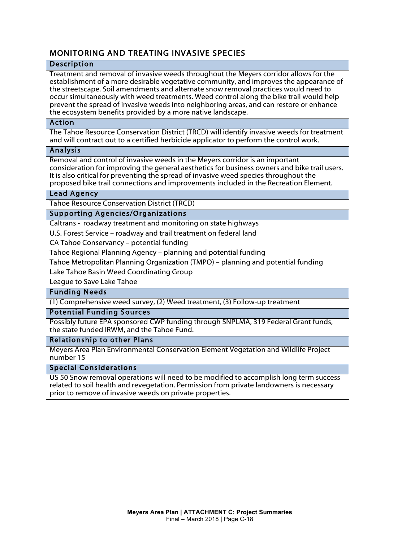# MONITORING AND TREATING INVASIVE SPECIES

## Description

Treatment and removal of invasive weeds throughout the Meyers corridor allows for the establishment of a more desirable vegetative community, and improves the appearance of the streetscape. Soil amendments and alternate snow removal practices would need to occur simultaneously with weed treatments. Weed control along the bike trail would help prevent the spread of invasive weeds into neighboring areas, and can restore or enhance the ecosystem benefits provided by a more native landscape.

#### Action

The Tahoe Resource Conservation District (TRCD) will identify invasive weeds for treatment and will contract out to a certified herbicide applicator to perform the control work.

#### Analysis

Removal and control of invasive weeds in the Meyers corridor is an important consideration for improving the general aesthetics for business owners and bike trail users. It is also critical for preventing the spread of invasive weed species throughout the proposed bike trail connections and improvements included in the Recreation Element.

## Lead Agency

Tahoe Resource Conservation District (TRCD)

## Supporting Agencies/Organizations

Caltrans - roadway treatment and monitoring on state highways

U.S. Forest Service – roadway and trail treatment on federal land

CA Tahoe Conservancy – potential funding

Tahoe Regional Planning Agency – planning and potential funding

Tahoe Metropolitan Planning Organization (TMPO) – planning and potential funding

Lake Tahoe Basin Weed Coordinating Group

League to Save Lake Tahoe

## Funding Needs

(1) Comprehensive weed survey, (2) Weed treatment, (3) Follow-up treatment

# Potential Funding Sources

Possibly future EPA sponsored CWP funding through SNPLMA, 319 Federal Grant funds, the state funded IRWM, and the Tahoe Fund.

#### Relationship to other Plans

Meyers Area Plan Environmental Conservation Element Vegetation and Wildlife Project number 15

# Special Considerations

US 50 Snow removal operations will need to be modified to accomplish long term success related to soil health and revegetation. Permission from private landowners is necessary prior to remove of invasive weeds on private properties.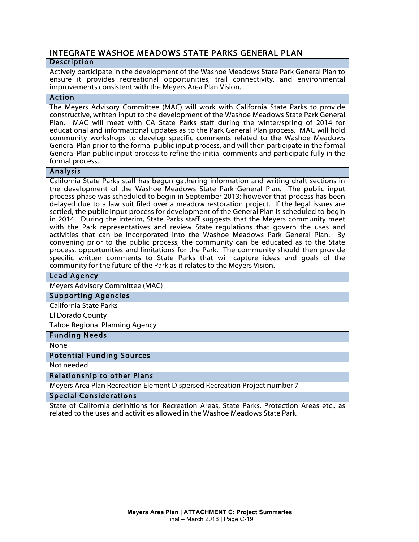# INTEGRATE WASHOE MEADOWS STATE PARKS GENERAL PLAN

# Description

Actively participate in the development of the Washoe Meadows State Park General Plan to ensure it provides recreational opportunities, trail connectivity, and environmental improvements consistent with the Meyers Area Plan Vision.

## Action

The Meyers Advisory Committee (MAC) will work with California State Parks to provide constructive, written input to the development of the Washoe Meadows State Park General Plan. MAC will meet with CA State Parks staff during the winter/spring of 2014 for educational and informational updates as to the Park General Plan process. MAC will hold community workshops to develop specific comments related to the Washoe Meadows General Plan prior to the formal public input process, and will then participate in the formal General Plan public input process to refine the initial comments and participate fully in the formal process.

#### Analysis

California State Parks staff has begun gathering information and writing draft sections in the development of the Washoe Meadows State Park General Plan. The public input process phase was scheduled to begin in September 2013; however that process has been delayed due to a law suit filed over a meadow restoration project. If the legal issues are settled, the public input process for development of the General Plan is scheduled to begin in 2014. During the interim, State Parks staff suggests that the Meyers community meet with the Park representatives and review State regulations that govern the uses and activities that can be incorporated into the Washoe Meadows Park General Plan. By convening prior to the public process, the community can be educated as to the State process, opportunities and limitations for the Park. The community should then provide specific written comments to State Parks that will capture ideas and goals of the community for the future of the Park as it relates to the Meyers Vision.

## Lead Agency

Meyers Advisory Committee (MAC)

#### Supporting Agencies

California State Parks

El Dorado County

Tahoe Regional Planning Agency

#### Funding Needs

**None** 

I

#### Potential Funding Sources

Not needed

#### Relationship to other Plans

Meyers Area Plan Recreation Element Dispersed Recreation Project number 7

#### Special Considerations

State of California definitions for Recreation Areas, State Parks, Protection Areas etc., as related to the uses and activities allowed in the Washoe Meadows State Park.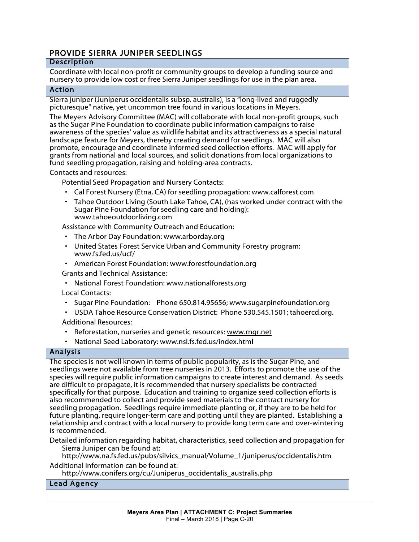# PROVIDE SIERRA JUNIPER SEEDLINGS

# Description

Coordinate with local non-profit or community groups to develop a funding source and nursery to provide low cost or free Sierra Juniper seedlings for use in the plan area.

#### Action

Sierra juniper (Juniperus occidentalis subsp. australis), is a "long-lived and ruggedly picturesque" native, yet uncommon tree found in various locations in Meyers.

The Meyers Advisory Committee (MAC) will collaborate with local non-profit groups, such as the Sugar Pine Foundation to coordinate public information campaigns to raise awareness of the species' value as wildlife habitat and its attractiveness as a special natural landscape feature for Meyers, thereby creating demand for seedlings. MAC will also promote, encourage and coordinate informed seed collection efforts. MAC will apply for grants from national and local sources, and solicit donations from local organizations to fund seedling propagation, raising and holding-area contracts.

Contacts and resources:

Potential Seed Propagation and Nursery Contacts:

- Cal Forest Nursery (Etna, CA) for seedling propagation: www.calforest.com
- Tahoe Outdoor Living (South Lake Tahoe, CA), (has worked under contract with the Sugar Pine Foundation for seedling care and holding): www.tahoeoutdoorliving.com

Assistance with Community Outreach and Education:

- The Arbor Day Foundation: www.arborday.org
- United States Forest Service Urban and Community Forestry program: www.fs.fed.us/ucf/
- American Forest Foundation: www.forestfoundation.org

Grants and Technical Assistance:

- National Forest Foundation: www.nationalforests.org
- Local Contacts:
- Sugar Pine Foundation: Phone 650.814.95656; www.sugarpinefoundation.org
- USDA Tahoe Resource Conservation District: Phone 530.545.1501; tahoercd.org. Additional Resources:
- Reforestation, nurseries and genetic resources: www.rngr.net
- National Seed Laboratory: www.nsl.fs.fed.us/index.html

# Analysis

The species is not well known in terms of public popularity, as is the Sugar Pine, and seedlings were not available from tree nurseries in 2013. Efforts to promote the use of the species will require public information campaigns to create interest and demand. As seeds are difficult to propagate, it is recommended that nursery specialists be contracted specifically for that purpose. Education and training to organize seed collection efforts is also recommended to collect and provide seed materials to the contract nursery for seedling propagation. Seedlings require immediate planting or, if they are to be held for future planting, require longer-term care and potting until they are planted. Establishing a relationship and contract with a local nursery to provide long term care and over-wintering is recommended.

Detailed information regarding habitat, characteristics, seed collection and propagation for Sierra Juniper can be found at:

http://www.na.fs.fed.us/pubs/silvics\_manual/Volume\_1/juniperus/occidentalis.htm Additional information can be found at:

http://www.conifers.org/cu/Juniperus\_occidentalis\_australis.php

# Lead Agency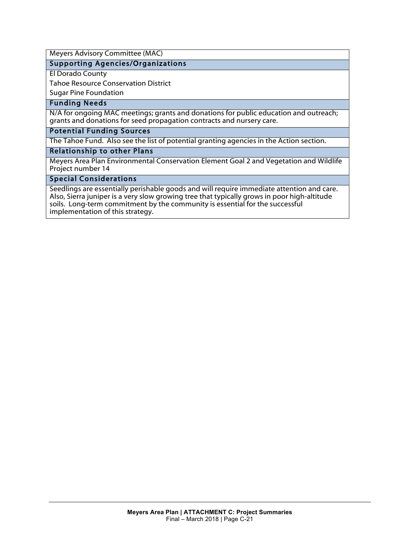Meyers Advisory Committee (MAC)

#### Supporting Agencies/Organizations

El Dorado County

Tahoe Resource Conservation District

Sugar Pine Foundation

#### Funding Needs

N/A for ongoing MAC meetings; grants and donations for public education and outreach; grants and donations for seed propagation contracts and nursery care.

#### Potential Funding Sources

The Tahoe Fund. Also see the list of potential granting agencies in the Action section.

#### Relationship to other Plans

Meyers Area Plan Environmental Conservation Element Goal 2 and Vegetation and Wildlife Project number 14

#### Special Considerations

Seedlings are essentially perishable goods and will require immediate attention and care. Also, Sierra juniper is a very slow growing tree that typically grows in poor high-altitude soils. Long-term commitment by the community is essential for the successful implementation of this strategy.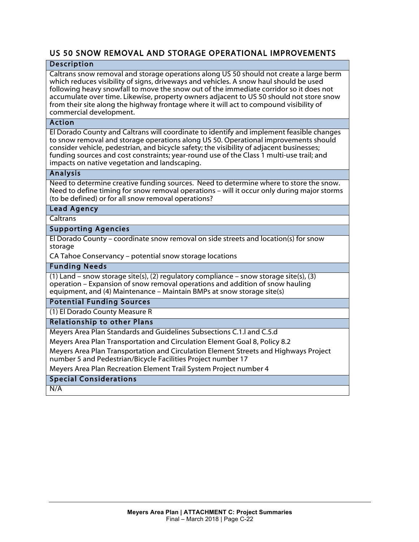# US 50 SNOW REMOVAL AND STORAGE OPERATIONAL IMPROVEMENTS

# Description

Caltrans snow removal and storage operations along US 50 should not create a large berm which reduces visibility of signs, driveways and vehicles. A snow haul should be used following heavy snowfall to move the snow out of the immediate corridor so it does not accumulate over time. Likewise, property owners adjacent to US 50 should not store snow from their site along the highway frontage where it will act to compound visibility of commercial development.

#### Action

El Dorado County and Caltrans will coordinate to identify and implement feasible changes to snow removal and storage operations along US 50. Operational improvements should consider vehicle, pedestrian, and bicycle safety; the visibility of adjacent businesses; funding sources and cost constraints; year-round use of the Class 1 multi-use trail; and impacts on native vegetation and landscaping.

#### Analysis

Need to determine creative funding sources. Need to determine where to store the snow. Need to define timing for snow removal operations – will it occur only during major storms (to be defined) or for all snow removal operations?

#### Lead Agency

**Caltrans** 

#### Supporting Agencies

El Dorado County – coordinate snow removal on side streets and location(s) for snow storage

CA Tahoe Conservancy – potential snow storage locations

#### Funding Needs

(1) Land – snow storage site(s), (2) regulatory compliance – snow storage site(s), (3) operation – Expansion of snow removal operations and addition of snow hauling equipment, and (4) Maintenance – Maintain BMPs at snow storage site(s)

#### Potential Funding Sources

(1) El Dorado County Measure R

#### Relationship to other Plans

Meyers Area Plan Standards and Guidelines Subsections C.1.l and C.5.d

Meyers Area Plan Transportation and Circulation Element Goal 8, Policy 8.2

Meyers Area Plan Transportation and Circulation Element Streets and Highways Project number 5 and Pedestrian/Bicycle Facilities Project number 17

Meyers Area Plan Recreation Element Trail System Project number 4

# Special Considerations

N/A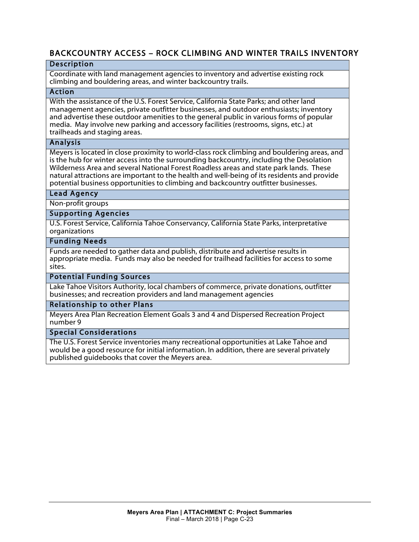# BACKCOUNTRY ACCESS – ROCK CLIMBING AND WINTER TRAILS INVENTORY

#### **Description**

Coordinate with land management agencies to inventory and advertise existing rock climbing and bouldering areas, and winter backcountry trails.

#### Action

With the assistance of the U.S. Forest Service, California State Parks; and other land management agencies, private outfitter businesses, and outdoor enthusiasts; inventory and advertise these outdoor amenities to the general public in various forms of popular media. May involve new parking and accessory facilities (restrooms, signs, etc.) at trailheads and staging areas.

#### Analysis

Meyers is located in close proximity to world-class rock climbing and bouldering areas, and is the hub for winter access into the surrounding backcountry, including the Desolation Wilderness Area and several National Forest Roadless areas and state park lands. These natural attractions are important to the health and well-being of its residents and provide potential business opportunities to climbing and backcountry outfitter businesses.

#### Lead Agency

Non-profit groups

#### Supporting Agencies

U.S. Forest Service, California Tahoe Conservancy, California State Parks, interpretative organizations

#### Funding Needs

Funds are needed to gather data and publish, distribute and advertise results in appropriate media. Funds may also be needed for trailhead facilities for access to some sites.

#### Potential Funding Sources

Lake Tahoe Visitors Authority, local chambers of commerce, private donations, outfitter businesses; and recreation providers and land management agencies

#### Relationship to other Plans

Meyers Area Plan Recreation Element Goals 3 and 4 and Dispersed Recreation Project number 9

#### Special Considerations

The U.S. Forest Service inventories many recreational opportunities at Lake Tahoe and would be a good resource for initial information. In addition, there are several privately published guidebooks that cover the Meyers area.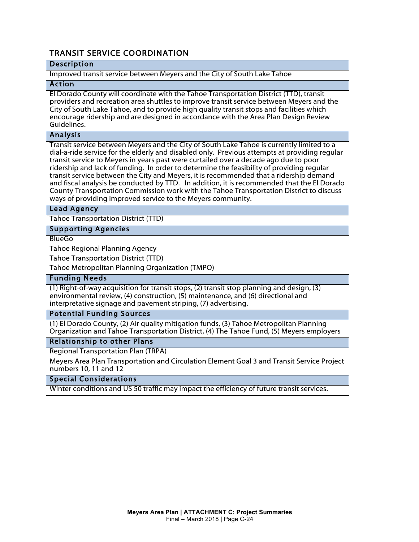# TRANSIT SERVICE COORDINATION

# Description

#### Improved transit service between Meyers and the City of South Lake Tahoe

#### Action

El Dorado County will coordinate with the Tahoe Transportation District (TTD), transit providers and recreation area shuttles to improve transit service between Meyers and the City of South Lake Tahoe, and to provide high quality transit stops and facilities which encourage ridership and are designed in accordance with the Area Plan Design Review Guidelines.

#### Analysis

Transit service between Meyers and the City of South Lake Tahoe is currently limited to a dial-a-ride service for the elderly and disabled only. Previous attempts at providing regular transit service to Meyers in years past were curtailed over a decade ago due to poor ridership and lack of funding. In order to determine the feasibility of providing regular transit service between the City and Meyers, it is recommended that a ridership demand and fiscal analysis be conducted by TTD. In addition, it is recommended that the El Dorado County Transportation Commission work with the Tahoe Transportation District to discuss ways of providing improved service to the Meyers community.

#### Lead Agency

Tahoe Transportation District (TTD)

#### Supporting Agencies

**BlueGo** 

Tahoe Regional Planning Agency

Tahoe Transportation District (TTD)

Tahoe Metropolitan Planning Organization (TMPO)

#### Funding Needs

(1) Right-of-way acquisition for transit stops, (2) transit stop planning and design, (3) environmental review, (4) construction, (5) maintenance, and (6) directional and interpretative signage and pavement striping, (7) advertising.

#### Potential Funding Sources

(1) El Dorado County, (2) Air quality mitigation funds, (3) Tahoe Metropolitan Planning Organization and Tahoe Transportation District, (4) The Tahoe Fund, (5) Meyers employers

#### Relationship to other Plans

Regional Transportation Plan (TRPA)

Meyers Area Plan Transportation and Circulation Element Goal 3 and Transit Service Project numbers 10, 11 and 12

#### Special Considerations

Winter conditions and US 50 traffic may impact the efficiency of future transit services.